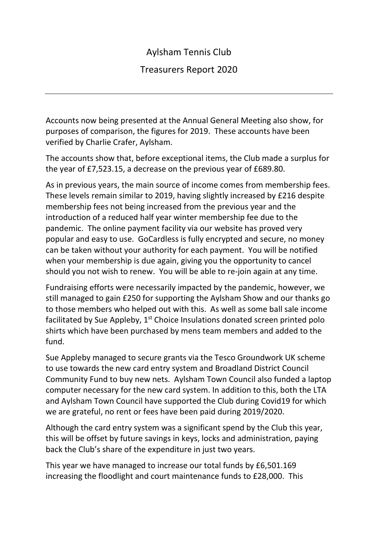## Aylsham Tennis Club

## Treasurers Report 2020

Accounts now being presented at the Annual General Meeting also show, for purposes of comparison, the figures for 2019. These accounts have been verified by Charlie Crafer, Aylsham.

The accounts show that, before exceptional items, the Club made a surplus for the year of £7,523.15, a decrease on the previous year of £689.80.

As in previous years, the main source of income comes from membership fees. These levels remain similar to 2019, having slightly increased by £216 despite membership fees not being increased from the previous year and the introduction of a reduced half year winter membership fee due to the pandemic. The online payment facility via our website has proved very popular and easy to use. GoCardless is fully encrypted and secure, no money can be taken without your authority for each payment. You will be notified when your membership is due again, giving you the opportunity to cancel should you not wish to renew. You will be able to re-join again at any time.

Fundraising efforts were necessarily impacted by the pandemic, however, we still managed to gain £250 for supporting the Aylsham Show and our thanks go to those members who helped out with this. As well as some ball sale income facilitated by Sue Appleby,  $1<sup>st</sup>$  Choice Insulations donated screen printed polo shirts which have been purchased by mens team members and added to the fund.

Sue Appleby managed to secure grants via the Tesco Groundwork UK scheme to use towards the new card entry system and Broadland District Council Community Fund to buy new nets. Aylsham Town Council also funded a laptop computer necessary for the new card system. In addition to this, both the LTA and Aylsham Town Council have supported the Club during Covid19 for which we are grateful, no rent or fees have been paid during 2019/2020.

Although the card entry system was a significant spend by the Club this year, this will be offset by future savings in keys, locks and administration, paying back the Club's share of the expenditure in just two years.

This year we have managed to increase our total funds by £6,501.169 increasing the floodlight and court maintenance funds to £28,000. This